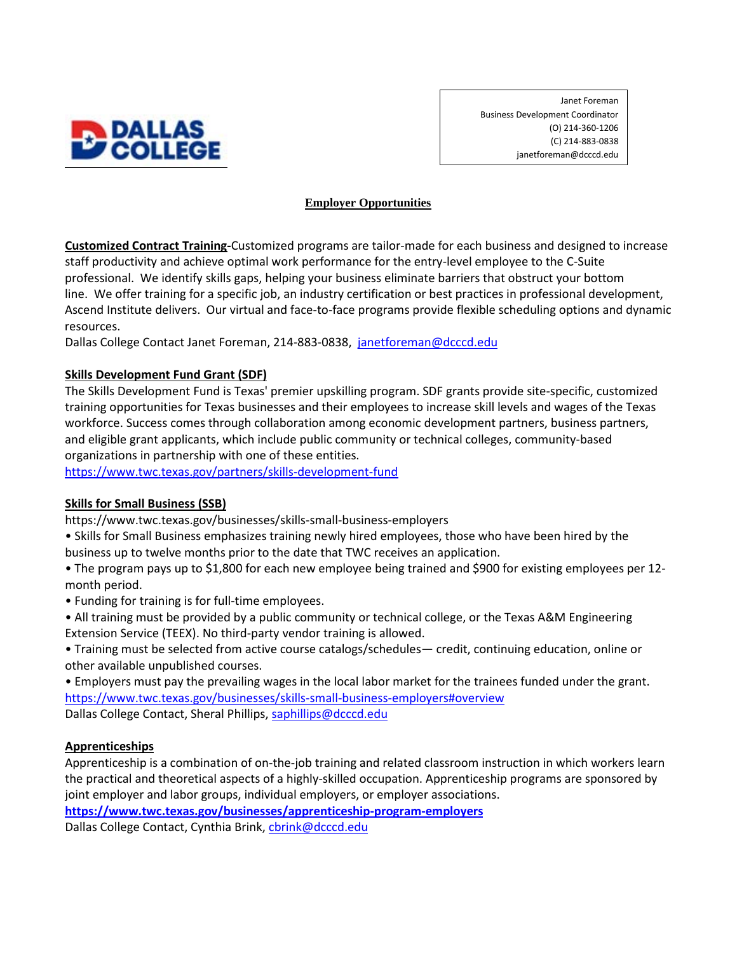

Janet Foreman Business Development Coordinator (O) 214-360-1206 (C) 214-883-0838 janetforeman@dcccd.edu

## **Employer Opportunities**

**Customized Contract Training-**Customized programs are tailor-made for each business and designed to increase staff productivity and achieve optimal work performance for the entry-level employee to the C-Suite professional. We identify skills gaps, helping your business eliminate barriers that obstruct your bottom line. We offer training for a specific job, an industry certification or best practices in professional development, Ascend Institute delivers. Our virtual and face-to-face programs provide flexible scheduling options and dynamic resources.

Dallas College Contact Janet Foreman, 214-883-0838, [janetforeman@dcccd.edu](mailto:janetforeman@dcccd.edu)

# **Skills Development Fund Grant (SDF)**

The Skills Development Fund is Texas' premier upskilling program. SDF grants provide site-specific, customized training opportunities for Texas businesses and their employees to increase skill levels and wages of the Texas workforce. Success comes through collaboration among economic development partners, business partners, and eligible grant applicants, which include public community or technical colleges, community-based organizations in partnership with one of these entities.

<https://www.twc.texas.gov/partners/skills-development-fund>

# **Skills for Small Business (SSB)**

https://www.twc.texas.gov/businesses/skills-small-business-employers

- Skills for Small Business emphasizes training newly hired employees, those who have been hired by the business up to twelve months prior to the date that TWC receives an application.
- The program pays up to \$1,800 for each new employee being trained and \$900 for existing employees per 12 month period.
- Funding for training is for full-time employees.
- All training must be provided by a public community or technical college, or the Texas A&M Engineering Extension Service (TEEX). No third-party vendor training is allowed.
- Training must be selected from active course catalogs/schedules— credit, continuing education, online or other available unpublished courses.

• Employers must pay the prevailing wages in the local labor market for the trainees funded under the grant. <https://www.twc.texas.gov/businesses/skills-small-business-employers#overview> Dallas College Contact, Sheral Phillips, [saphillips@dcccd.edu](mailto:saphillips@dcccd.edu)

### **Apprenticeships**

Apprenticeship is a combination of on-the-job training and related classroom instruction in which workers learn the practical and theoretical aspects of a highly-skilled occupation. Apprenticeship programs are sponsored by joint employer and labor groups, individual employers, or employer associations.

**<https://www.twc.texas.gov/businesses/apprenticeship-program-employers>**

Dallas College Contact, Cynthia Brink, [cbrink@dcccd.edu](mailto:cbrink@dcccd.edu)